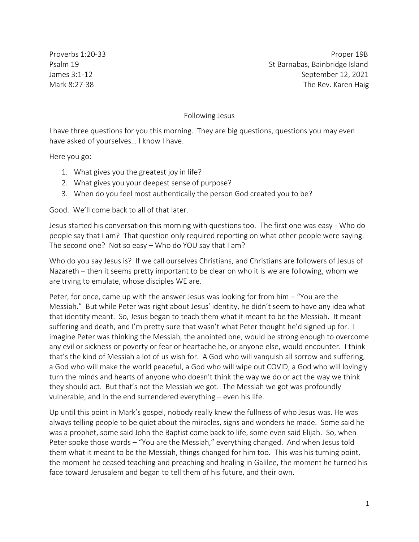Proverbs 1:20-33 Proper 19B Psalm 19 St Barnabas, Bainbridge Island James 3:1-12 September 12, 2021 Mark 8:27-38 The Rev. Karen Haig

## Following Jesus

I have three questions for you this morning. They are big questions, questions you may even have asked of yourselves… I know I have.

Here you go:

- 1. What gives you the greatest joy in life?
- 2. What gives you your deepest sense of purpose?
- 3. When do you feel most authentically the person God created you to be?

Good. We'll come back to all of that later.

Jesus started his conversation this morning with questions too. The first one was easy - Who do people say that I am? That question only required reporting on what other people were saying. The second one? Not so easy – Who do YOU say that I am?

Who do you say Jesus is? If we call ourselves Christians, and Christians are followers of Jesus of Nazareth – then it seems pretty important to be clear on who it is we are following, whom we are trying to emulate, whose disciples WE are.

Peter, for once, came up with the answer Jesus was looking for from him – "You are the Messiah." But while Peter was right about Jesus' identity, he didn't seem to have any idea what that identity meant. So, Jesus began to teach them what it meant to be the Messiah. It meant suffering and death, and I'm pretty sure that wasn't what Peter thought he'd signed up for. I imagine Peter was thinking the Messiah, the anointed one, would be strong enough to overcome any evil or sickness or poverty or fear or heartache he, or anyone else, would encounter. I think that's the kind of Messiah a lot of us wish for. A God who will vanquish all sorrow and suffering, a God who will make the world peaceful, a God who will wipe out COVID, a God who will lovingly turn the minds and hearts of anyone who doesn't think the way we do or act the way we think they should act. But that's not the Messiah we got. The Messiah we got was profoundly vulnerable, and in the end surrendered everything – even his life.

Up until this point in Mark's gospel, nobody really knew the fullness of who Jesus was. He was always telling people to be quiet about the miracles, signs and wonders he made. Some said he was a prophet, some said John the Baptist come back to life, some even said Elijah. So, when Peter spoke those words – "You are the Messiah," everything changed. And when Jesus told them what it meant to be the Messiah, things changed for him too. This was his turning point, the moment he ceased teaching and preaching and healing in Galilee, the moment he turned his face toward Jerusalem and began to tell them of his future, and their own.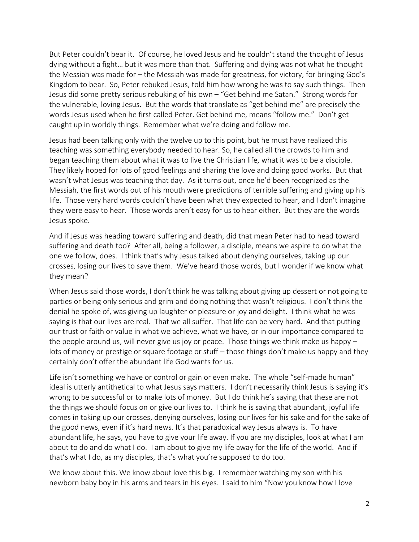But Peter couldn't bear it. Of course, he loved Jesus and he couldn't stand the thought of Jesus dying without a fight… but it was more than that. Suffering and dying was not what he thought the Messiah was made for – the Messiah was made for greatness, for victory, for bringing God's Kingdom to bear. So, Peter rebuked Jesus, told him how wrong he was to say such things. Then Jesus did some pretty serious rebuking of his own – "Get behind me Satan." Strong words for the vulnerable, loving Jesus. But the words that translate as "get behind me" are precisely the words Jesus used when he first called Peter. Get behind me, means "follow me." Don't get caught up in worldly things. Remember what we're doing and follow me.

Jesus had been talking only with the twelve up to this point, but he must have realized this teaching was something everybody needed to hear. So, he called all the crowds to him and began teaching them about what it was to live the Christian life, what it was to be a disciple. They likely hoped for lots of good feelings and sharing the love and doing good works. But that wasn't what Jesus was teaching that day. As it turns out, once he'd been recognized as the Messiah, the first words out of his mouth were predictions of terrible suffering and giving up his life. Those very hard words couldn't have been what they expected to hear, and I don't imagine they were easy to hear. Those words aren't easy for us to hear either. But they are the words Jesus spoke.

And if Jesus was heading toward suffering and death, did that mean Peter had to head toward suffering and death too? After all, being a follower, a disciple, means we aspire to do what the one we follow, does. I think that's why Jesus talked about denying ourselves, taking up our crosses, losing our lives to save them. We've heard those words, but I wonder if we know what they mean?

When Jesus said those words, I don't think he was talking about giving up dessert or not going to parties or being only serious and grim and doing nothing that wasn't religious. I don't think the denial he spoke of, was giving up laughter or pleasure or joy and delight. I think what he was saying is that our lives are real. That we all suffer. That life can be very hard. And that putting our trust or faith or value in what we achieve, what we have, or in our importance compared to the people around us, will never give us joy or peace. Those things we think make us happy – lots of money or prestige or square footage or stuff – those things don't make us happy and they certainly don't offer the abundant life God wants for us.

Life isn't something we have or control or gain or even make. The whole "self-made human" ideal is utterly antithetical to what Jesus says matters. I don't necessarily think Jesus is saying it's wrong to be successful or to make lots of money. But I do think he's saying that these are not the things we should focus on or give our lives to. I think he is saying that abundant, joyful life comes in taking up our crosses, denying ourselves, losing our lives for his sake and for the sake of the good news, even if it's hard news. It's that paradoxical way Jesus always is. To have abundant life, he says, you have to give your life away. If you are my disciples, look at what I am about to do and do what I do. I am about to give my life away for the life of the world. And if that's what I do, as my disciples, that's what you're supposed to do too.

We know about this. We know about love this big. I remember watching my son with his newborn baby boy in his arms and tears in his eyes. I said to him "Now you know how I love